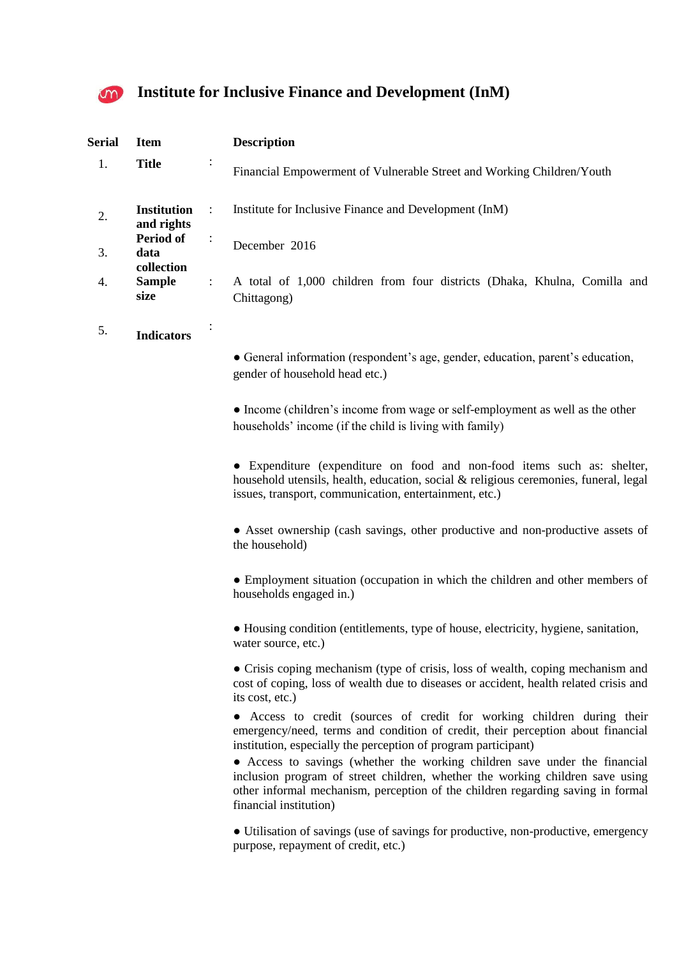## **Institute for Inclusive Finance and Development (InM)**

| Serial | <b>Item</b>                      | <b>Description</b>                                                                                                                                                                                                                                                       |
|--------|----------------------------------|--------------------------------------------------------------------------------------------------------------------------------------------------------------------------------------------------------------------------------------------------------------------------|
| 1.     | <b>Title</b>                     | :<br>Financial Empowerment of Vulnerable Street and Working Children/Youth                                                                                                                                                                                               |
| 2.     | <b>Institution</b><br>and rights | Institute for Inclusive Finance and Development (InM)<br>$\ddot{\cdot}$                                                                                                                                                                                                  |
| 3.     | Period of<br>data<br>collection  | $\ddot{\cdot}$<br>December 2016                                                                                                                                                                                                                                          |
| 4.     | <b>Sample</b><br>size            | A total of 1,000 children from four districts (Dhaka, Khulna, Comilla and<br>$\ddot{\cdot}$<br>Chittagong)                                                                                                                                                               |
| 5.     | <b>Indicators</b>                |                                                                                                                                                                                                                                                                          |
|        |                                  | • General information (respondent's age, gender, education, parent's education,<br>gender of household head etc.)                                                                                                                                                        |
|        |                                  | • Income (children's income from wage or self-employment as well as the other<br>households' income (if the child is living with family)                                                                                                                                 |
|        |                                  | • Expenditure (expenditure on food and non-food items such as: shelter,<br>household utensils, health, education, social & religious ceremonies, funeral, legal<br>issues, transport, communication, entertainment, etc.)                                                |
|        |                                  | • Asset ownership (cash savings, other productive and non-productive assets of<br>the household)                                                                                                                                                                         |
|        |                                  | • Employment situation (occupation in which the children and other members of<br>households engaged in.)                                                                                                                                                                 |
|        |                                  | • Housing condition (entitlements, type of house, electricity, hygiene, sanitation,<br>water source, etc.)                                                                                                                                                               |
|        |                                  | • Crisis coping mechanism (type of crisis, loss of wealth, coping mechanism and<br>cost of coping, loss of wealth due to diseases or accident, health related crisis and<br>its cost, etc.)                                                                              |
|        |                                  | • Access to credit (sources of credit for working children during their<br>emergency/need, terms and condition of credit, their perception about financial<br>institution, especially the perception of program participant)                                             |
|        |                                  | • Access to savings (whether the working children save under the financial<br>inclusion program of street children, whether the working children save using<br>other informal mechanism, perception of the children regarding saving in formal<br>financial institution) |
|        |                                  | • Utilisation of savings (use of savings for productive, non-productive, emergency<br>purpose, repayment of credit, etc.)                                                                                                                                                |